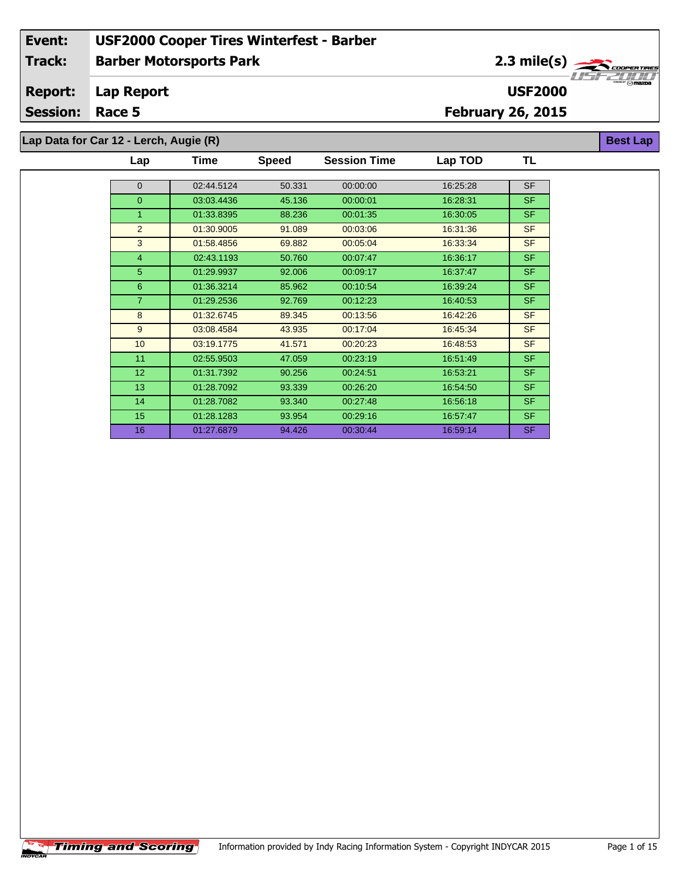2.3 mile(s)

**USF2000**

**Best Lap**

#### **Lap Report Report:**

**Session: Race 5**

### **February 26, 2015**

**Lap Data for Car 12 - Lerch, Augie (R)**

| Lap            | Time       | <b>Speed</b> | <b>Session Time</b> | Lap TOD  | TL        |
|----------------|------------|--------------|---------------------|----------|-----------|
|                |            |              |                     |          |           |
| $\mathbf{0}$   | 02:44.5124 | 50.331       | 00:00:00            | 16:25:28 | <b>SF</b> |
| $\overline{0}$ | 03:03.4436 | 45.136       | 00:00:01            | 16:28:31 | <b>SF</b> |
| 1              | 01:33.8395 | 88.236       | 00:01:35            | 16:30:05 | <b>SF</b> |
| 2              | 01:30.9005 | 91.089       | 00:03:06            | 16:31:36 | <b>SF</b> |
| 3              | 01:58.4856 | 69.882       | 00:05:04            | 16:33:34 | <b>SF</b> |
| $\overline{4}$ | 02:43.1193 | 50.760       | 00:07:47            | 16:36:17 | <b>SF</b> |
| 5              | 01:29.9937 | 92.006       | 00:09:17            | 16:37:47 | <b>SF</b> |
| 6              | 01:36.3214 | 85.962       | 00:10:54            | 16:39:24 | <b>SF</b> |
| $\overline{7}$ | 01:29.2536 | 92.769       | 00:12:23            | 16:40:53 | SF.       |
| 8              | 01:32.6745 | 89.345       | 00:13:56            | 16:42:26 | <b>SF</b> |
| 9              | 03:08.4584 | 43.935       | 00:17:04            | 16:45:34 | <b>SF</b> |
| 10             | 03:19.1775 | 41.571       | 00:20:23            | 16:48:53 | <b>SF</b> |
| 11             | 02:55.9503 | 47.059       | 00:23:19            | 16:51:49 | <b>SF</b> |
| 12             | 01:31.7392 | 90.256       | 00:24:51            | 16:53:21 | <b>SF</b> |
| 13             | 01:28.7092 | 93.339       | 00:26:20            | 16:54:50 | <b>SF</b> |
| 14             | 01:28.7082 | 93.340       | 00:27:48            | 16:56:18 | <b>SF</b> |
| 15             | 01:28.1283 | 93.954       | 00:29:16            | 16:57:47 | SF.       |
| 16             | 01:27.6879 | 94.426       | 00:30:44            | 16:59:14 | <b>SF</b> |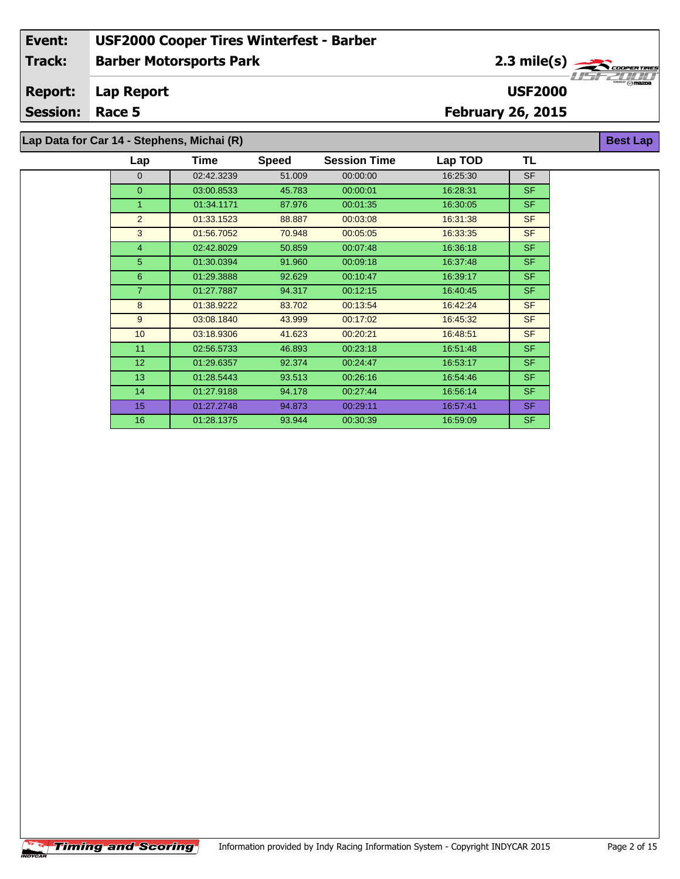2.3 mile(s)

**USF2000**

**Best Lap**

**Lap Report Report:**

**Session: Race 5**

**February 26, 2015**

**Lap Data for Car 14 - Stephens, Michai (R)**

| Lap             | Time       | <b>Speed</b> | <b>Session Time</b> | Lap TOD  | TL        |
|-----------------|------------|--------------|---------------------|----------|-----------|
| $\Omega$        | 02:42.3239 | 51.009       | 00:00:00            | 16:25:30 | <b>SF</b> |
| $\mathbf{0}$    | 03:00.8533 | 45.783       | 00:00:01            | 16:28:31 | <b>SF</b> |
| 1               | 01:34.1171 | 87.976       | 00:01:35            | 16:30:05 | <b>SF</b> |
| 2               | 01:33.1523 | 88.887       | 00:03:08            | 16:31:38 | <b>SF</b> |
| 3               | 01:56.7052 | 70.948       | 00:05:05            | 16:33:35 | <b>SF</b> |
| $\overline{4}$  | 02:42.8029 | 50.859       | 00:07:48            | 16:36:18 | <b>SF</b> |
| 5               | 01:30.0394 | 91.960       | 00:09:18            | 16:37:48 | <b>SF</b> |
| 6               | 01:29.3888 | 92.629       | 00:10:47            | 16:39:17 | <b>SF</b> |
| $\overline{7}$  | 01:27.7887 | 94.317       | 00:12:15            | 16:40:45 | <b>SF</b> |
| 8               | 01:38.9222 | 83.702       | 00:13:54            | 16:42:24 | <b>SF</b> |
| 9               | 03:08.1840 | 43.999       | 00:17:02            | 16:45:32 | <b>SF</b> |
| 10              | 03:18.9306 | 41.623       | 00:20:21            | 16:48:51 | <b>SF</b> |
| 11              | 02:56.5733 | 46.893       | 00:23:18            | 16:51:48 | <b>SF</b> |
| 12 <sup>°</sup> | 01:29.6357 | 92.374       | 00:24:47            | 16:53:17 | <b>SF</b> |
| 13              | 01:28.5443 | 93.513       | 00:26:16            | 16:54:46 | <b>SF</b> |
| 14              | 01:27.9188 | 94.178       | 00:27:44            | 16:56:14 | <b>SF</b> |
| 15              | 01:27.2748 | 94.873       | 00:29:11            | 16:57:41 | <b>SF</b> |
| 16              | 01:28.1375 | 93.944       | 00:30:39            | 16:59:09 | <b>SF</b> |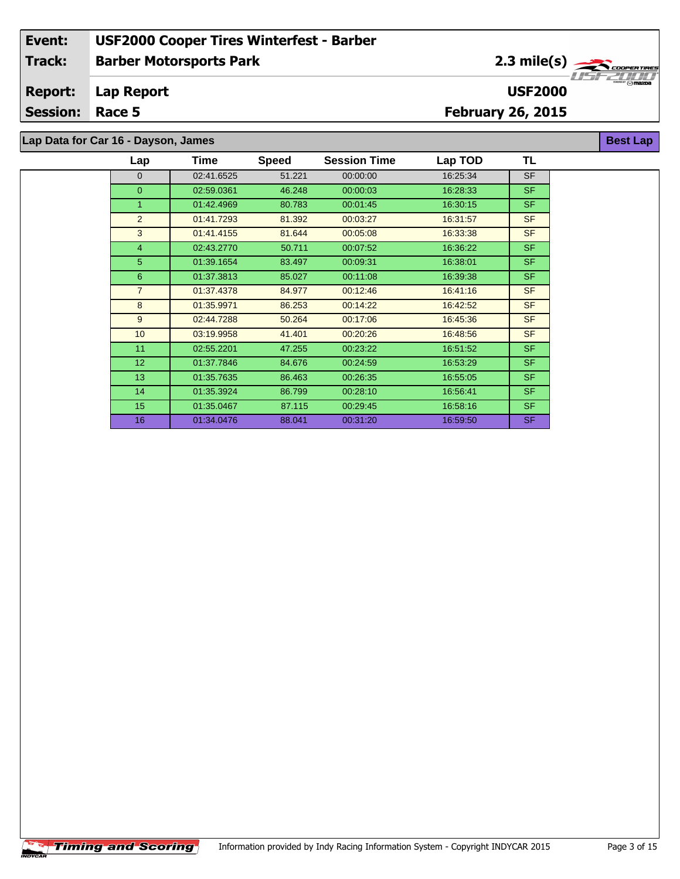2.3 mile(s)

**USF2000**

**Best Lap**

#### **Lap Report Report:**

**Session: Race 5**

## **February 26, 2015**

**Lap Data for Car 16 - Dayson, James**

| Lap            | Time       | <b>Speed</b> | <b>Session Time</b> | Lap TOD  | TL        |
|----------------|------------|--------------|---------------------|----------|-----------|
| $\Omega$       | 02:41.6525 | 51.221       | 00:00:00            | 16:25:34 | <b>SF</b> |
| $\overline{0}$ | 02:59.0361 | 46.248       | 00:00:03            | 16:28:33 | <b>SF</b> |
| 1.             | 01:42.4969 | 80.783       | 00:01:45            | 16:30:15 | <b>SF</b> |
| 2              | 01:41.7293 | 81.392       | 00:03:27            | 16:31:57 | <b>SF</b> |
| 3              | 01:41.4155 | 81.644       | 00:05:08            | 16:33:38 | <b>SF</b> |
| $\overline{4}$ | 02:43.2770 | 50.711       | 00:07:52            | 16:36:22 | <b>SF</b> |
| 5              | 01:39.1654 | 83.497       | 00:09:31            | 16:38:01 | <b>SF</b> |
| 6              | 01:37.3813 | 85.027       | 00:11:08            | 16:39:38 | <b>SF</b> |
| $\overline{7}$ | 01:37.4378 | 84.977       | 00:12:46            | 16:41:16 | <b>SF</b> |
| 8              | 01:35.9971 | 86.253       | 00:14:22            | 16:42:52 | <b>SF</b> |
| 9              | 02:44.7288 | 50.264       | 00:17:06            | 16:45:36 | <b>SF</b> |
| 10             | 03:19.9958 | 41.401       | 00:20:26            | 16:48:56 | <b>SF</b> |
| 11             | 02:55.2201 | 47.255       | 00:23:22            | 16:51:52 | <b>SF</b> |
| 12             | 01:37.7846 | 84.676       | 00:24:59            | 16:53:29 | <b>SF</b> |
| 13             | 01:35.7635 | 86.463       | 00:26:35            | 16:55:05 | <b>SF</b> |
| 14             | 01:35.3924 | 86.799       | 00:28:10            | 16.56.41 | <b>SF</b> |
| 15             | 01:35.0467 | 87.115       | 00:29:45            | 16:58:16 | <b>SF</b> |
| 16             | 01:34.0476 | 88.041       | 00:31:20            | 16:59:50 | <b>SF</b> |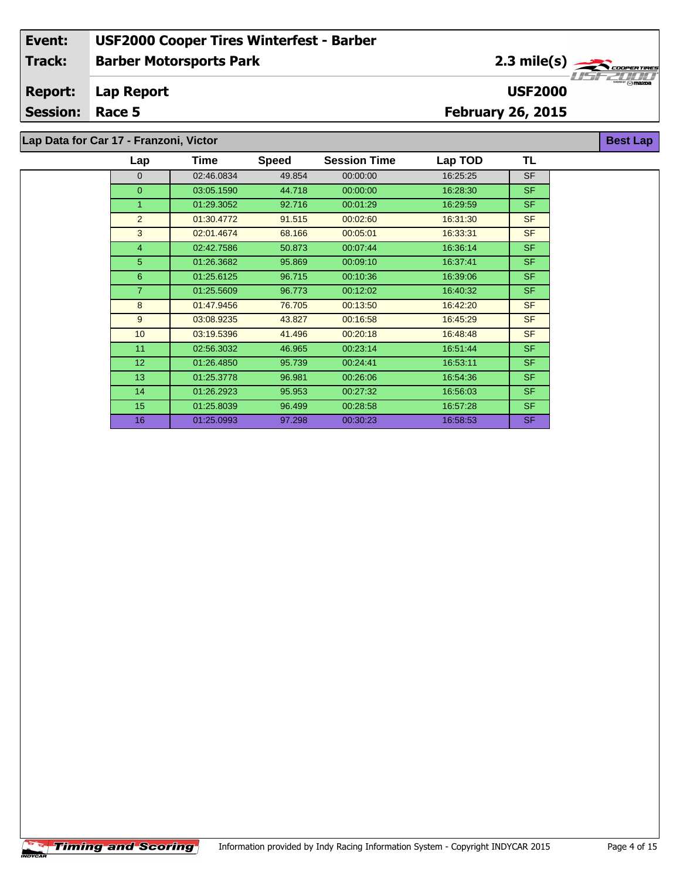2.3 mile(s)

**USF2000**

**Best Lap**

#### **Lap Report Report:**

**Session: Race 5**

 $\overline{\phantom{a}}$ 

## **February 26, 2015**

**Lap Data for Car 17 - Franzoni, Victor**

| Lap             | Time       | <b>Speed</b> | <b>Session Time</b> | Lap TOD  | TL        |
|-----------------|------------|--------------|---------------------|----------|-----------|
| $\mathbf{0}$    | 02:46.0834 | 49.854       | 00:00:00            | 16:25:25 | <b>SF</b> |
| $\overline{0}$  | 03:05.1590 | 44.718       | 00:00:00            | 16:28:30 | <b>SF</b> |
| 1               | 01:29.3052 | 92.716       | 00:01:29            | 16:29:59 | <b>SF</b> |
| 2               | 01:30.4772 | 91.515       | 00:02:60            | 16:31:30 | <b>SF</b> |
| 3               | 02:01.4674 | 68.166       | 00:05:01            | 16:33:31 | <b>SF</b> |
| $\overline{4}$  | 02:42.7586 | 50.873       | 00:07:44            | 16:36:14 | <b>SF</b> |
| 5               | 01:26.3682 | 95.869       | 00:09:10            | 16:37:41 | <b>SF</b> |
| 6               | 01:25.6125 | 96.715       | 00:10:36            | 16:39:06 | <b>SF</b> |
| $\overline{7}$  | 01:25.5609 | 96.773       | 00:12:02            | 16:40:32 | <b>SF</b> |
| 8               | 01:47.9456 | 76.705       | 00:13:50            | 16:42:20 | <b>SF</b> |
| 9               | 03:08.9235 | 43.827       | 00:16:58            | 16:45:29 | <b>SF</b> |
| 10              | 03:19.5396 | 41.496       | 00:20:18            | 16:48:48 | <b>SF</b> |
| 11              | 02:56.3032 | 46.965       | 00:23:14            | 16:51:44 | <b>SF</b> |
| 12 <sup>2</sup> | 01:26.4850 | 95.739       | 00:24:41            | 16:53:11 | <b>SF</b> |
| 13              | 01:25.3778 | 96.981       | 00:26:06            | 16.54.36 | <b>SF</b> |
| 14              | 01:26.2923 | 95.953       | 00:27:32            | 16:56:03 | <b>SF</b> |
| 15              | 01:25.8039 | 96.499       | 00:28:58            | 16:57:28 | <b>SF</b> |
| 16              | 01:25.0993 | 97.298       | 00:30:23            | 16:58:53 | <b>SF</b> |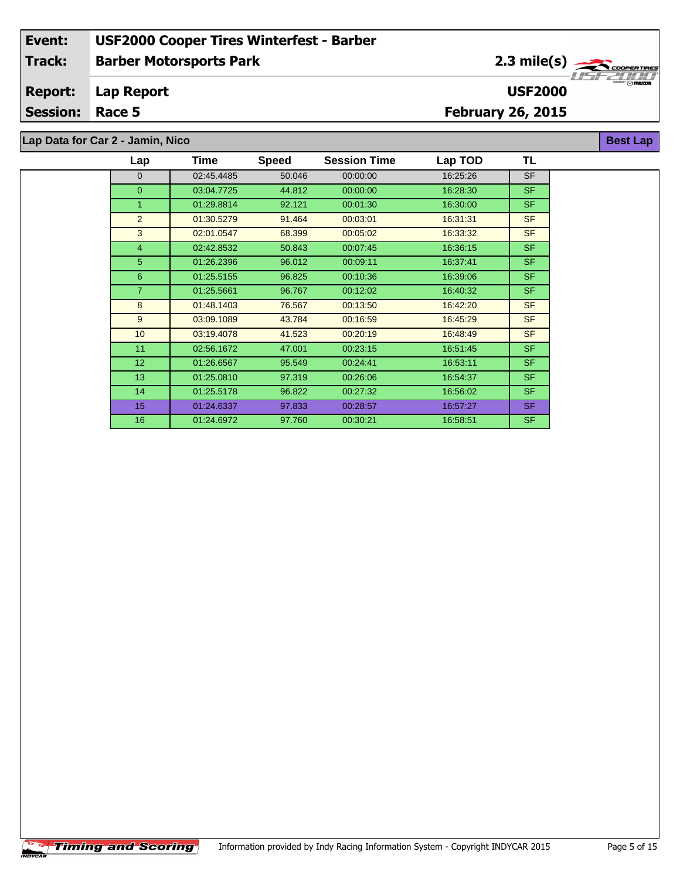2.3 mile(s)

**USF2000**

**Best Lap**

**Lap Report Report:**

**Session: Race 5**

## **February 26, 2015**

**Lap Data for Car 2 - Jamin, Nico**

| Lap             | Time       | <b>Speed</b> | <b>Session Time</b> | Lap TOD  | TL        |
|-----------------|------------|--------------|---------------------|----------|-----------|
| $\mathbf{0}$    | 02:45.4485 | 50.046       | 00:00:00            | 16:25:26 | <b>SF</b> |
| $\mathbf{0}$    | 03:04.7725 | 44.812       | 00:00:00            | 16:28:30 | <b>SF</b> |
| 1               | 01:29.8814 | 92.121       | 00:01:30            | 16:30:00 | <b>SF</b> |
| 2               | 01:30.5279 | 91.464       | 00:03:01            | 16:31:31 | <b>SF</b> |
| 3               | 02:01.0547 | 68.399       | 00:05:02            | 16:33:32 | <b>SF</b> |
| $\overline{4}$  | 02:42.8532 | 50.843       | 00:07:45            | 16:36:15 | <b>SF</b> |
| 5               | 01:26.2396 | 96.012       | 00:09:11            | 16:37:41 | <b>SF</b> |
| 6               | 01:25.5155 | 96.825       | 00:10:36            | 16:39:06 | <b>SF</b> |
| $\overline{7}$  | 01:25.5661 | 96.767       | 00:12:02            | 16:40:32 | <b>SF</b> |
| 8               | 01:48.1403 | 76.567       | 00:13:50            | 16:42:20 | <b>SF</b> |
| 9               | 03:09.1089 | 43.784       | 00:16:59            | 16:45:29 | <b>SF</b> |
| 10 <sup>1</sup> | 03:19.4078 | 41.523       | 00:20:19            | 16:48:49 | <b>SF</b> |
| 11              | 02:56.1672 | 47.001       | 00:23:15            | 16:51:45 | <b>SF</b> |
| 12 <sub>2</sub> | 01:26.6567 | 95.549       | 00:24:41            | 16:53:11 | <b>SF</b> |
| 13              | 01:25.0810 | 97.319       | 00:26:06            | 16:54:37 | <b>SF</b> |
| 14              | 01:25.5178 | 96.822       | 00:27:32            | 16:56:02 | <b>SF</b> |
| 15              | 01:24.6337 | 97.833       | 00:28:57            | 16:57:27 | <b>SF</b> |
| 16              | 01:24.6972 | 97.760       | 00:30:21            | 16:58:51 | <b>SF</b> |

 $\overline{\phantom{a}}$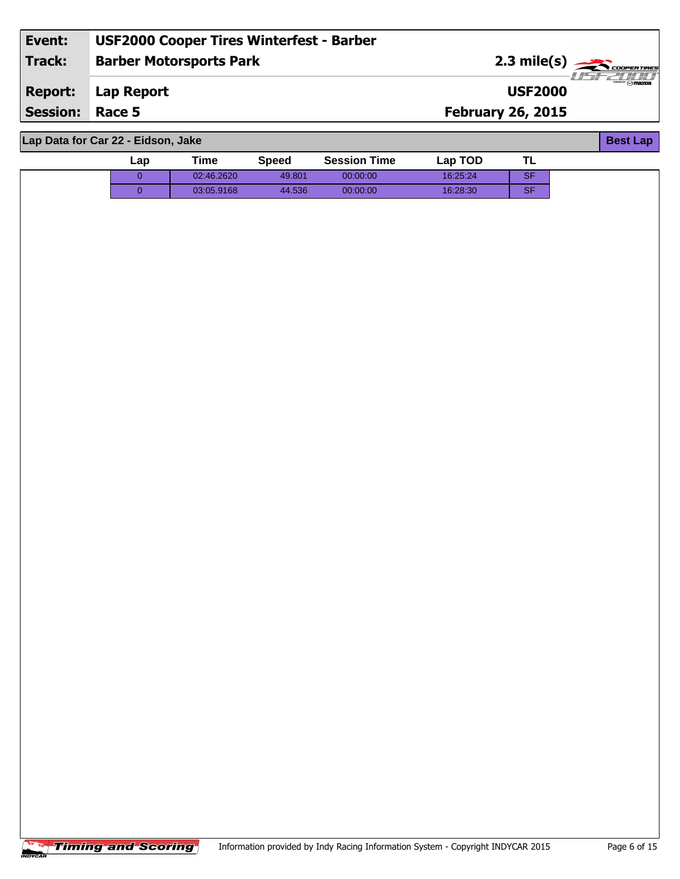| Event:                 | <b>USF2000 Cooper Tires Winterfest - Barber</b> |                          |                       |
|------------------------|-------------------------------------------------|--------------------------|-----------------------|
| Track:                 | <b>Barber Motorsports Park</b>                  |                          | 2.3 mile(s)           |
|                        | Report: Lap Report                              | <b>USF2000</b>           | 727727777<br>‴ ⊙mazoa |
| <b>Session: Race 5</b> |                                                 | <b>February 26, 2015</b> |                       |
|                        |                                                 |                          |                       |

**Lap Data for Car 22 - Eidson, Jake**

| Lap Data for Car 22 - Eidson, Jake |                         |             |              |                     |          |           | <b>Best Lap</b> |
|------------------------------------|-------------------------|-------------|--------------|---------------------|----------|-----------|-----------------|
|                                    | Lap                     | <b>Time</b> | <b>Speed</b> | <b>Session Time</b> | Lap TOD  | <b>TL</b> |                 |
|                                    | $\overline{0}$          | 02:46.2620  | 49.801       | 00:00:00            | 16:25:24 | SF        |                 |
|                                    | $\overline{\mathbf{0}}$ | 03:05.9168  | 44.536       | 00:00:00            | 16:28:30 | SF        |                 |
|                                    |                         |             |              |                     |          |           |                 |
|                                    |                         |             |              |                     |          |           |                 |
|                                    |                         |             |              |                     |          |           |                 |
|                                    |                         |             |              |                     |          |           |                 |
|                                    |                         |             |              |                     |          |           |                 |
|                                    |                         |             |              |                     |          |           |                 |
|                                    |                         |             |              |                     |          |           |                 |
|                                    |                         |             |              |                     |          |           |                 |
|                                    |                         |             |              |                     |          |           |                 |
|                                    |                         |             |              |                     |          |           |                 |
|                                    |                         |             |              |                     |          |           |                 |
|                                    |                         |             |              |                     |          |           |                 |
|                                    |                         |             |              |                     |          |           |                 |
|                                    |                         |             |              |                     |          |           |                 |
|                                    |                         |             |              |                     |          |           |                 |
|                                    |                         |             |              |                     |          |           |                 |
|                                    |                         |             |              |                     |          |           |                 |
|                                    |                         |             |              |                     |          |           |                 |
|                                    |                         |             |              |                     |          |           |                 |
|                                    |                         |             |              |                     |          |           |                 |
|                                    |                         |             |              |                     |          |           |                 |
|                                    |                         |             |              |                     |          |           |                 |
|                                    |                         |             |              |                     |          |           |                 |
|                                    |                         |             |              |                     |          |           |                 |
|                                    |                         |             |              |                     |          |           |                 |
|                                    |                         |             |              |                     |          |           |                 |
|                                    |                         |             |              |                     |          |           |                 |
|                                    |                         |             |              |                     |          |           |                 |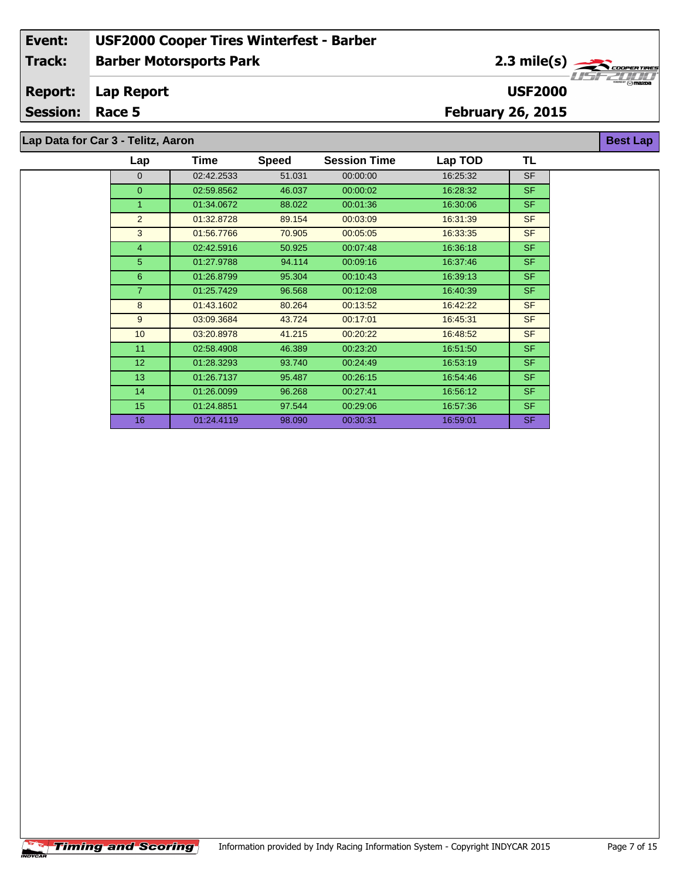2.3 mile(s)

**USF2000**

**Best Lap**

**Lap Report Report:**

**Session: Race 5**

 $\overline{\phantom{a}}$ 

**February 26, 2015**

**Lap Data for Car 3 - Telitz, Aaron**

| Lap            | Time       | <b>Speed</b> | <b>Session Time</b> | Lap TOD  | TL        |
|----------------|------------|--------------|---------------------|----------|-----------|
| $\Omega$       | 02:42.2533 | 51.031       | 00:00:00            | 16:25:32 | <b>SF</b> |
| $\overline{0}$ | 02:59.8562 | 46.037       | 00:00:02            | 16:28:32 | <b>SF</b> |
| $\mathbf{1}$   | 01:34.0672 | 88.022       | 00:01:36            | 16:30:06 | <b>SF</b> |
| 2              | 01:32.8728 | 89.154       | 00:03:09            | 16:31:39 | <b>SF</b> |
| 3              | 01:56.7766 | 70.905       | 00:05:05            | 16:33:35 | <b>SF</b> |
| $\overline{4}$ | 02:42.5916 | 50.925       | 00.07.48            | 16:36:18 | <b>SF</b> |
| 5              | 01:27.9788 | 94.114       | 00:09:16            | 16:37:46 | <b>SF</b> |
| 6              | 01:26.8799 | 95.304       | 00:10:43            | 16:39:13 | <b>SF</b> |
| $\overline{7}$ | 01:25.7429 | 96.568       | 00:12:08            | 16:40:39 | <b>SF</b> |
| 8              | 01:43.1602 | 80.264       | 00:13:52            | 16:42:22 | <b>SF</b> |
| 9              | 03:09.3684 | 43.724       | 00:17:01            | 16:45:31 | <b>SF</b> |
| 10             | 03:20.8978 | 41.215       | 00:20:22            | 16:48:52 | <b>SF</b> |
| 11             | 02:58.4908 | 46.389       | 00:23:20            | 16:51:50 | <b>SF</b> |
| 12             | 01:28.3293 | 93.740       | 00:24:49            | 16:53:19 | <b>SF</b> |
| 13             | 01:26.7137 | 95.487       | 00:26:15            | 16:54:46 | <b>SF</b> |
| 14             | 01:26.0099 | 96.268       | 00:27:41            | 16:56:12 | <b>SF</b> |
| 15             | 01:24.8851 | 97.544       | 00:29:06            | 16:57:36 | <b>SF</b> |
| 16             | 01:24.4119 | 98.090       | 00:30:31            | 16:59:01 | <b>SF</b> |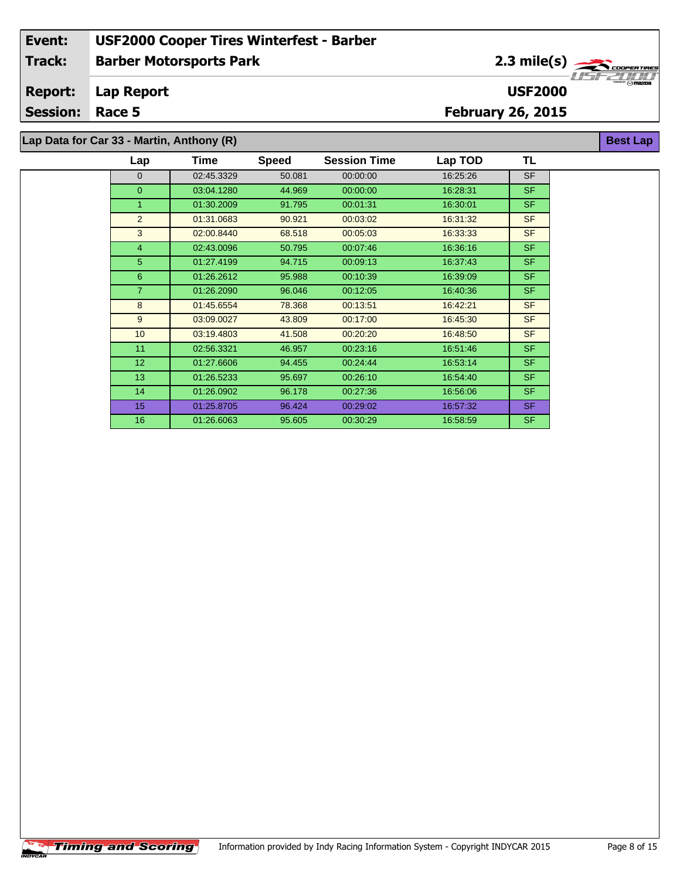2.3 mile(s)

**USF2000**

**Best Lap**

**Lap Report Report:**

**Session: Race 5**

**February 26, 2015**

**Lap Data for Car 33 - Martin, Anthony (R)**

| Lap             | Time       | <b>Speed</b> | <b>Session Time</b> | Lap TOD  | TL        |
|-----------------|------------|--------------|---------------------|----------|-----------|
| $\Omega$        | 02:45.3329 | 50.081       | 00:00:00            | 16:25:26 | <b>SF</b> |
| $\overline{0}$  | 03:04.1280 | 44.969       | 00:00:00            | 16:28:31 | <b>SF</b> |
| $\mathbf{1}$    | 01:30.2009 | 91.795       | 00:01:31            | 16:30:01 | <b>SF</b> |
| 2               | 01:31.0683 | 90.921       | 00:03:02            | 16:31:32 | <b>SF</b> |
| 3               | 02:00.8440 | 68.518       | 00:05:03            | 16:33:33 | <b>SF</b> |
| $\overline{4}$  | 02:43.0096 | 50.795       | 00:07:46            | 16:36:16 | <b>SF</b> |
| 5               | 01:27.4199 | 94.715       | 00:09:13            | 16:37:43 | <b>SF</b> |
| 6               | 01:26.2612 | 95.988       | 00:10:39            | 16:39:09 | <b>SF</b> |
| $\overline{7}$  | 01:26.2090 | 96.046       | 00:12:05            | 16:40:36 | <b>SF</b> |
| 8               | 01:45.6554 | 78.368       | 00:13:51            | 16:42:21 | <b>SF</b> |
| 9               | 03:09.0027 | 43.809       | 00:17:00            | 16:45:30 | <b>SF</b> |
| 10 <sup>°</sup> | 03:19.4803 | 41.508       | 00:20:20            | 16:48:50 | <b>SF</b> |
| 11              | 02:56.3321 | 46.957       | 00:23:16            | 16:51:46 | <b>SF</b> |
| 12 <sup>2</sup> | 01:27.6606 | 94.455       | 00:24:44            | 16:53:14 | <b>SF</b> |
| 13              | 01:26.5233 | 95.697       | 00:26:10            | 16.54.40 | <b>SF</b> |
| 14              | 01:26.0902 | 96.178       | 00:27:36            | 16:56:06 | <b>SF</b> |
| 15              | 01:25.8705 | 96.424       | 00:29:02            | 16:57:32 | <b>SF</b> |
| 16              | 01:26.6063 | 95.605       | 00:30:29            | 16:58:59 | <b>SF</b> |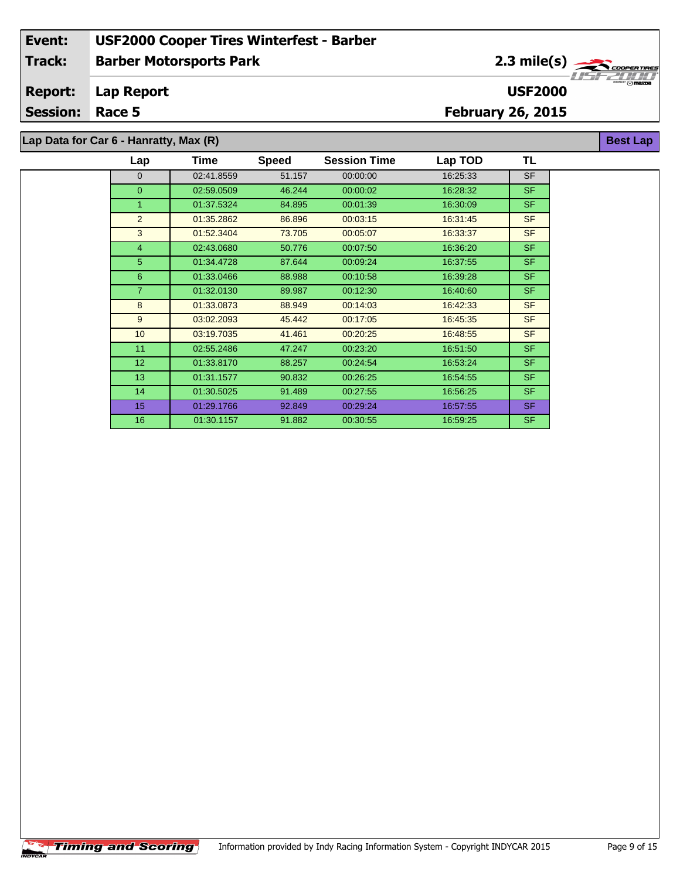2.3 mile(s)

**USF2000**

**Best Lap**

#### **Lap Report Report:**

**Session: Race 5**

## **February 26, 2015**

**Lap Data for Car 6 - Hanratty, Max (R)**

| Lap            | Time       | <b>Speed</b> | <b>Session Time</b> | Lap TOD  | TL        |
|----------------|------------|--------------|---------------------|----------|-----------|
| $\overline{0}$ | 02:41.8559 | 51.157       | 00:00:00            | 16:25:33 | <b>SF</b> |
| $\mathbf{0}$   | 02:59.0509 | 46.244       | 00:00:02            | 16:28:32 | <b>SF</b> |
| 1              | 01:37.5324 | 84.895       | 00:01:39            | 16:30:09 | SF.       |
| 2              | 01:35.2862 | 86.896       | 00:03:15            | 16:31:45 | <b>SF</b> |
| 3              | 01:52.3404 | 73.705       | 00:05:07            | 16:33:37 | <b>SF</b> |
| $\overline{4}$ | 02:43.0680 | 50.776       | 00:07:50            | 16:36:20 | <b>SF</b> |
| 5              | 01:34.4728 | 87.644       | 00:09:24            | 16:37:55 | <b>SF</b> |
| 6              | 01:33.0466 | 88.988       | 00:10:58            | 16:39:28 | <b>SF</b> |
| $\overline{7}$ | 01:32.0130 | 89.987       | 00:12:30            | 16:40:60 | <b>SF</b> |
| 8              | 01:33.0873 | 88.949       | 00:14:03            | 16:42:33 | <b>SF</b> |
| 9              | 03:02.2093 | 45.442       | 00:17:05            | 16:45:35 | <b>SF</b> |
| 10             | 03:19.7035 | 41.461       | 00:20:25            | 16:48:55 | <b>SF</b> |
| 11             | 02:55.2486 | 47.247       | 00:23:20            | 16:51:50 | <b>SF</b> |
| 12             | 01:33.8170 | 88.257       | 00:24:54            | 16:53:24 | <b>SF</b> |
| 13             | 01:31.1577 | 90.832       | 00:26:25            | 16:54:55 | <b>SF</b> |
| 14             | 01:30.5025 | 91.489       | 00:27:55            | 16:56:25 | <b>SF</b> |
| 15             | 01:29.1766 | 92.849       | 00:29:24            | 16:57:55 | <b>SF</b> |
| 16             | 01:30.1157 | 91.882       | 00:30:55            | 16:59:25 | <b>SF</b> |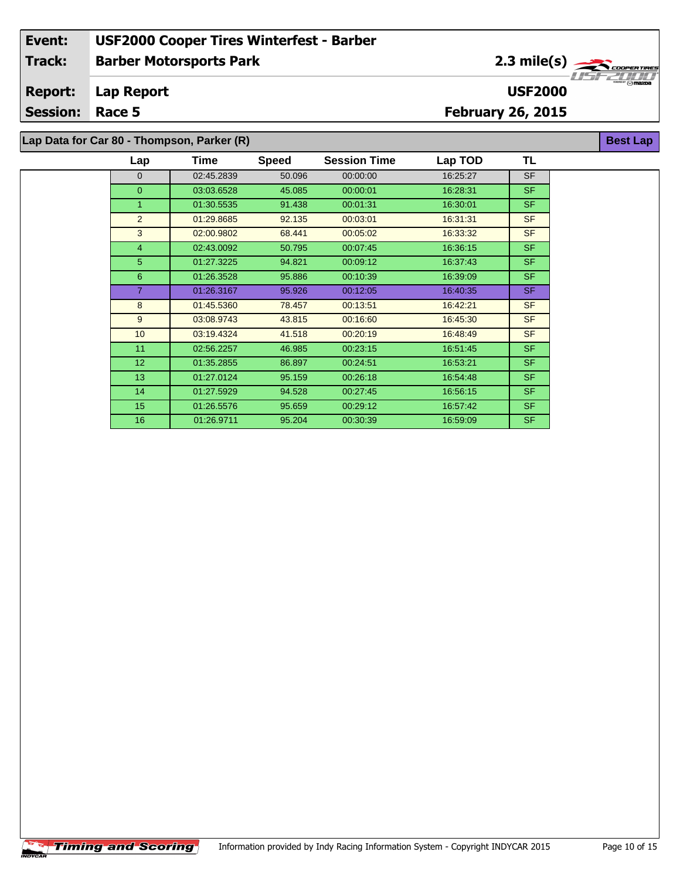**USF2000**

**Lap Report Report:**

**Session: Race 5**

**February 26, 2015**

**Lap Data for Car 80 - Thompson, Parker (R)**

| Lap             | Time       | <b>Speed</b> | <b>Session Time</b> | Lap TOD  | TL        |
|-----------------|------------|--------------|---------------------|----------|-----------|
| $\mathbf{0}$    | 02:45.2839 | 50.096       | 00:00:00            | 16:25:27 | <b>SF</b> |
| $\mathbf{0}$    | 03:03.6528 | 45.085       | 00:00:01            | 16:28:31 | <b>SF</b> |
| 1               | 01:30.5535 | 91.438       | 00:01:31            | 16:30:01 | <b>SF</b> |
| 2               | 01:29.8685 | 92.135       | 00:03:01            | 16:31:31 | <b>SF</b> |
| 3               | 02:00.9802 | 68.441       | 00:05:02            | 16:33:32 | <b>SF</b> |
| $\overline{4}$  | 02:43.0092 | 50.795       | 00:07:45            | 16:36:15 | <b>SF</b> |
| 5               | 01:27.3225 | 94.821       | 00:09:12            | 16:37:43 | <b>SF</b> |
| 6               | 01:26.3528 | 95.886       | 00:10:39            | 16:39:09 | SF.       |
| $\overline{7}$  | 01:26.3167 | 95.926       | 00:12:05            | 16:40:35 | <b>SF</b> |
| 8               | 01:45.5360 | 78.457       | 00:13:51            | 16:42:21 | <b>SF</b> |
| 9               | 03:08.9743 | 43.815       | 00:16:60            | 16:45:30 | <b>SF</b> |
| 10              | 03:19.4324 | 41.518       | 00:20:19            | 16:48:49 | <b>SF</b> |
| 11              | 02:56.2257 | 46.985       | 00:23:15            | 16:51:45 | <b>SF</b> |
| 12 <sup>2</sup> | 01:35.2855 | 86.897       | 00:24:51            | 16:53:21 | <b>SF</b> |
| 13              | 01:27.0124 | 95.159       | 00:26:18            | 16:54:48 | <b>SF</b> |
| 14              | 01:27.5929 | 94.528       | 00:27:45            | 16:56:15 | <b>SF</b> |
| 15              | 01:26.5576 | 95.659       | 00:29:12            | 16:57:42 | <b>SF</b> |
| 16              | 01:26.9711 | 95.204       | 00:30:39            | 16:59:09 | <b>SF</b> |



**Best Lap**

**Track:**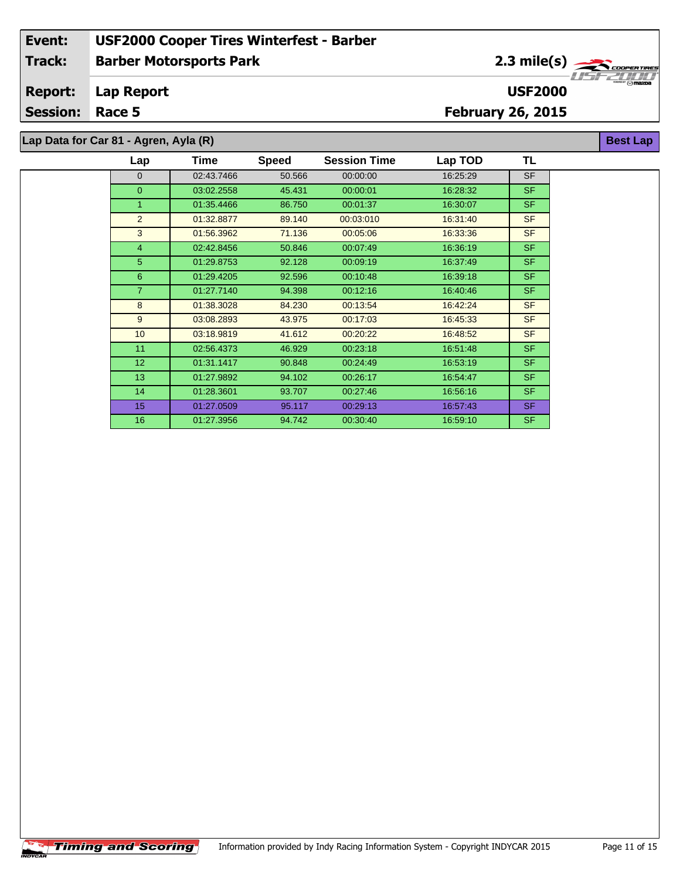2.3 mile(s)

**USF2000**

**Best Lap**

#### **Lap Report Report:**

**Session: Race 5**

## **February 26, 2015**

**Lap Data for Car 81 - Agren, Ayla (R)**

| Lap            | Time       | <b>Speed</b> | <b>Session Time</b> | Lap TOD  | TL        |
|----------------|------------|--------------|---------------------|----------|-----------|
| $\mathbf{0}$   | 02:43.7466 | 50.566       | 00:00:00            | 16:25:29 | <b>SF</b> |
| $\mathbf{0}$   | 03:02.2558 | 45.431       | 00:00:01            | 16:28:32 | <b>SF</b> |
| 1              | 01:35.4466 | 86.750       | 00:01:37            | 16:30:07 | <b>SF</b> |
| 2              | 01:32.8877 | 89.140       | 00:03:010           | 16:31:40 | <b>SF</b> |
| 3              | 01:56.3962 | 71.136       | 00:05:06            | 16:33:36 | <b>SF</b> |
| $\overline{4}$ | 02:42.8456 | 50.846       | 00:07:49            | 16:36:19 | <b>SF</b> |
| 5              | 01:29.8753 | 92.128       | 00:09:19            | 16:37:49 | <b>SF</b> |
| 6              | 01:29.4205 | 92.596       | 00:10:48            | 16:39:18 | <b>SF</b> |
| $\overline{7}$ | 01:27.7140 | 94.398       | 00:12:16            | 16:40:46 | <b>SF</b> |
| 8              | 01:38.3028 | 84.230       | 00:13:54            | 16:42:24 | <b>SF</b> |
| 9              | 03:08.2893 | 43.975       | 00:17:03            | 16:45:33 | <b>SF</b> |
| 10             | 03:18.9819 | 41.612       | 00:20:22            | 16:48:52 | <b>SF</b> |
| 11             | 02:56.4373 | 46.929       | 00:23:18            | 16:51:48 | <b>SF</b> |
| 12             | 01:31.1417 | 90.848       | 00:24:49            | 16:53:19 | <b>SF</b> |
| 13             | 01:27.9892 | 94.102       | 00:26:17            | 16:54:47 | <b>SF</b> |
| 14             | 01:28.3601 | 93.707       | 00:27:46            | 16:56:16 | <b>SF</b> |
| 15             | 01:27.0509 | 95.117       | 00:29:13            | 16:57:43 | <b>SF</b> |
| 16             | 01:27.3956 | 94.742       | 00:30:40            | 16:59:10 | <b>SF</b> |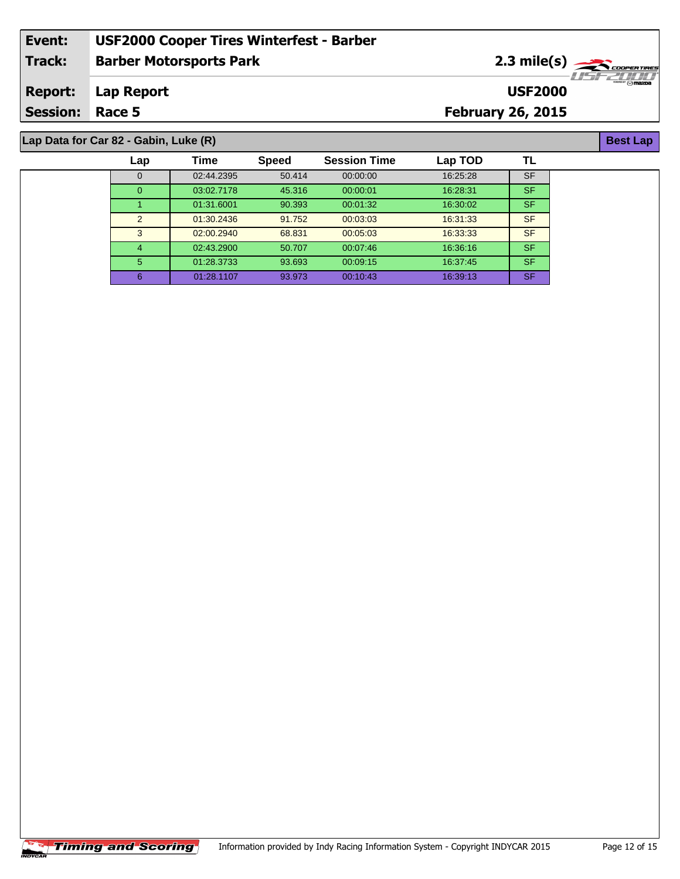#### **Barber Motorsports Park Lap Report February 26, 2015 Event: USF2000 Cooper Tires Winterfest - Barber Track: Report: Session: Race 5 USF2000** 2.3 mile(s) **Best Lap Lap Data for Car 82 - Gabin, Luke (R)**

| Lap           | Time       | <b>Speed</b> | <b>Session Time</b> | Lap TOD  | TL        |
|---------------|------------|--------------|---------------------|----------|-----------|
| $\Omega$      | 02:44.2395 | 50.414       | 00:00:00            | 16:25:28 | <b>SF</b> |
| 0             | 03:02.7178 | 45.316       | 00:00:01            | 16:28:31 | <b>SF</b> |
|               | 01:31.6001 | 90.393       | 00:01:32            | 16:30:02 | <b>SF</b> |
| $\mathcal{P}$ | 01:30.2436 | 91.752       | 00:03:03            | 16:31:33 | <b>SF</b> |
| 3             | 02:00.2940 | 68.831       | 00:05:03            | 16:33:33 | <b>SF</b> |
| 4             | 02:43.2900 | 50.707       | 00:07:46            | 16:36:16 | <b>SF</b> |
| 5             | 01:28.3733 | 93.693       | 00:09:15            | 16:37:45 | <b>SF</b> |
| 6             | 01:28.1107 | 93.973       | 00:10:43            | 16:39:13 | <b>SF</b> |

 $\overline{\phantom{a}}$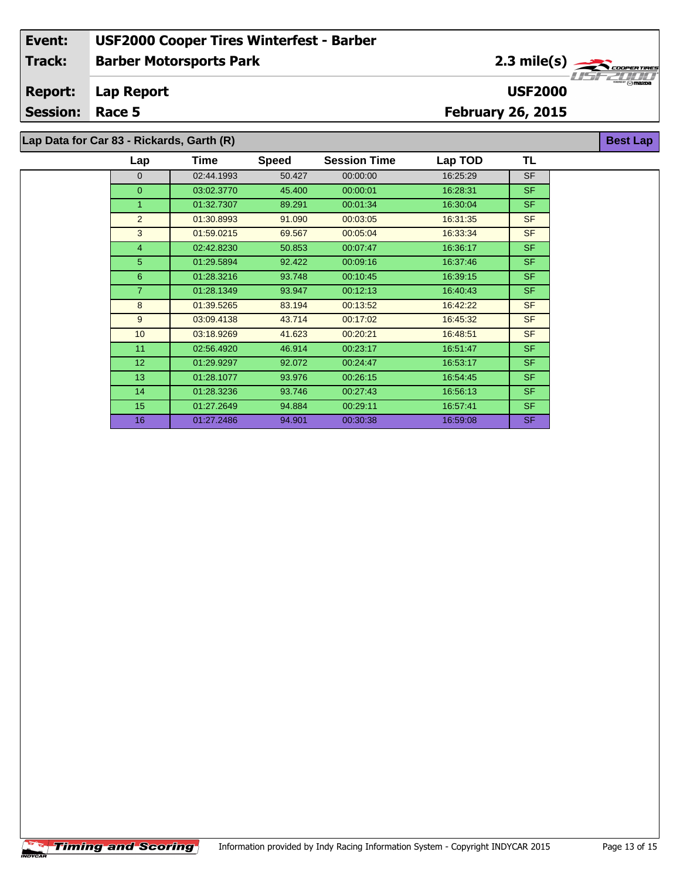2.3 mile(s)

**USF2000**

**Best Lap**

**Lap Report Report:**

**Session: Race 5**

 $\overline{\phantom{a}}$ 

**February 26, 2015**

**Lap Data for Car 83 - Rickards, Garth (R)**

| Lap            | Time       | <b>Speed</b> | <b>Session Time</b> | Lap TOD  | TL        |
|----------------|------------|--------------|---------------------|----------|-----------|
| $\mathbf{0}$   | 02:44.1993 | 50.427       | 00:00:00            | 16:25:29 | <b>SF</b> |
| $\mathbf{0}$   | 03:02.3770 | 45.400       | 00:00:01            | 16:28:31 | <b>SF</b> |
| $\mathbf{1}$   | 01:32.7307 | 89.291       | 00:01:34            | 16:30:04 | <b>SF</b> |
| 2              | 01:30.8993 | 91.090       | 00:03:05            | 16:31:35 | <b>SF</b> |
| 3              | 01:59.0215 | 69.567       | 00:05:04            | 16:33:34 | <b>SF</b> |
| $\overline{4}$ | 02:42.8230 | 50.853       | 00:07:47            | 16:36:17 | <b>SF</b> |
| 5              | 01:29.5894 | 92.422       | 00:09:16            | 16:37:46 | <b>SF</b> |
| 6              | 01:28.3216 | 93.748       | 00:10:45            | 16:39:15 | <b>SF</b> |
| $\overline{7}$ | 01:28.1349 | 93.947       | 00:12:13            | 16:40:43 | <b>SF</b> |
| 8              | 01:39.5265 | 83.194       | 00:13:52            | 16:42:22 | <b>SF</b> |
| 9              | 03:09.4138 | 43.714       | 00:17:02            | 16:45:32 | <b>SF</b> |
| 10             | 03:18.9269 | 41.623       | 00:20:21            | 16:48:51 | <b>SF</b> |
| 11             | 02:56.4920 | 46.914       | 00:23:17            | 16:51:47 | <b>SF</b> |
| 12             | 01:29.9297 | 92.072       | 00:24:47            | 16:53:17 | <b>SF</b> |
| 13             | 01:28.1077 | 93.976       | 00:26:15            | 16:54:45 | <b>SF</b> |
| 14             | 01:28.3236 | 93.746       | 00:27:43            | 16:56:13 | <b>SF</b> |
| 15             | 01:27.2649 | 94.884       | 00:29:11            | 16:57:41 | <b>SF</b> |
| 16             | 01:27.2486 | 94.901       | 00:30:38            | 16:59:08 | <b>SF</b> |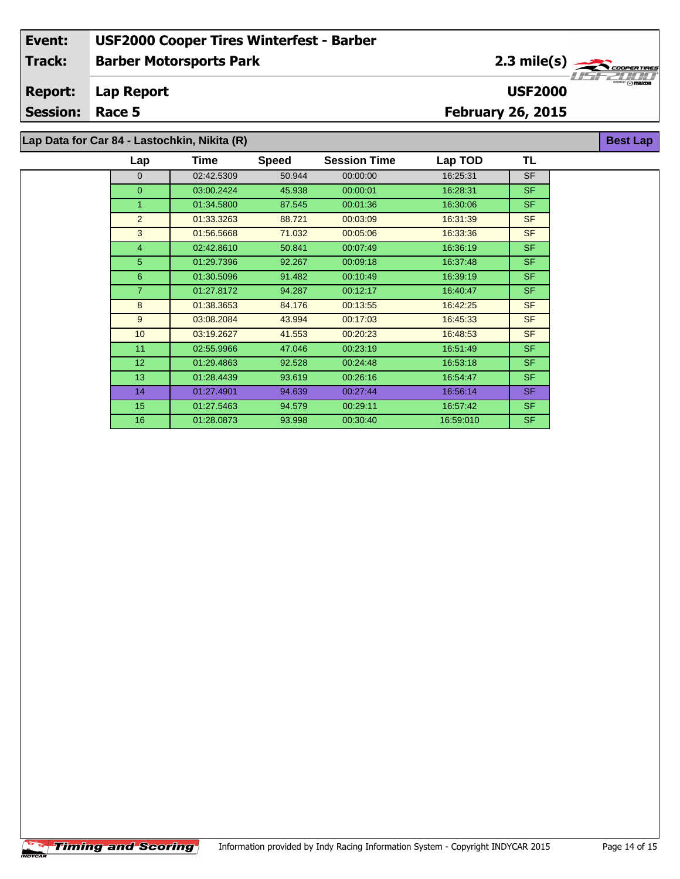2.3 mile(s)

**USF2000**

**Best Lap**

**Lap Report Report:**

**Session: Race 5**

**February 26, 2015**

**Lap Data for Car 84 - Lastochkin, Nikita (R)**

| Lap            | Time       | <b>Speed</b> | <b>Session Time</b> | Lap TOD   | TL        |
|----------------|------------|--------------|---------------------|-----------|-----------|
| $\Omega$       | 02:42.5309 | 50.944       | 00:00:00            | 16:25:31  | <b>SF</b> |
| $\overline{0}$ | 03:00.2424 | 45.938       | 00:00:01            | 16:28:31  | <b>SF</b> |
| 1              | 01:34.5800 | 87.545       | 00:01:36            | 16:30:06  | <b>SF</b> |
| 2              | 01:33.3263 | 88.721       | 00:03:09            | 16:31:39  | <b>SF</b> |
| 3              | 01:56.5668 | 71.032       | 00:05:06            | 16:33:36  | <b>SF</b> |
| $\overline{4}$ | 02:42.8610 | 50.841       | 00:07:49            | 16:36:19  | <b>SF</b> |
| 5              | 01:29.7396 | 92.267       | 00:09:18            | 16:37:48  | <b>SF</b> |
| 6              | 01:30.5096 | 91.482       | 00:10:49            | 16:39:19  | <b>SF</b> |
| $\overline{7}$ | 01:27.8172 | 94.287       | 00:12:17            | 16:40:47  | <b>SF</b> |
| 8              | 01:38.3653 | 84.176       | 00:13:55            | 16:42:25  | <b>SF</b> |
| 9              | 03:08.2084 | 43.994       | 00:17:03            | 16:45:33  | <b>SF</b> |
| 10             | 03:19.2627 | 41.553       | 00:20:23            | 16:48:53  | <b>SF</b> |
| 11             | 02:55.9966 | 47.046       | 00:23:19            | 16:51:49  | <b>SF</b> |
| 12             | 01:29.4863 | 92.528       | 00:24:48            | 16:53:18  | <b>SF</b> |
| 13             | 01:28.4439 | 93.619       | 00:26:16            | 16:54:47  | <b>SF</b> |
| 14             | 01:27.4901 | 94.639       | 00:27:44            | 16:56:14  | <b>SF</b> |
| 15             | 01:27.5463 | 94.579       | 00:29:11            | 16:57:42  | <b>SF</b> |
| 16             | 01:28.0873 | 93.998       | 00:30:40            | 16:59:010 | <b>SF</b> |